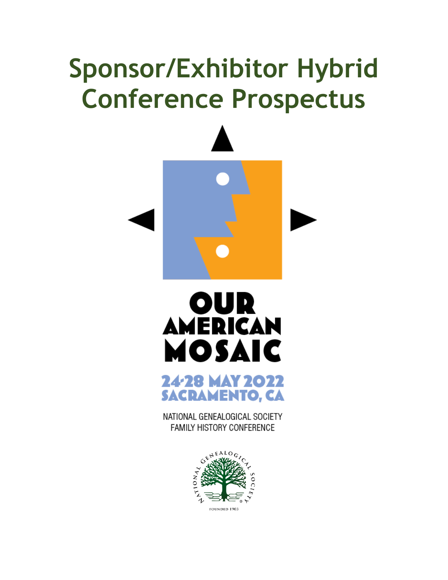# **Sponsor/Exhibitor Hybrid Conference Prospectus**







NATIONAL GENEALOGICAL SOCIETY **FAMILY HISTORY CONFERENCE** 

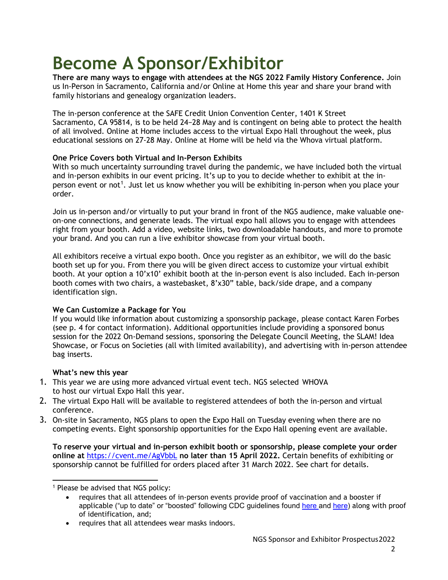# **Become A Sponsor/Exhibitor**

**There are many ways to engage with attendees at the NGS 2022 Family History Conference.** Join us In-Person in Sacramento, California and/or Online at Home this year and share your brand with family historians and genealogy organization leaders.

The in-person conference at the SAFE Credit Union Convention Center, 1401 K Street Sacramento, CA 95814, is to be held 24−28 May and is contingent on being able to protect the health of all involved. Online at Home includes access to the virtual Expo Hall throughout the week, plus educational sessions on 27-28 May. Online at Home will be held via the Whova virtual platform.

#### **One Price Covers both Virtual and In-Person Exhibits**

With so much uncertainty surrounding travel during the pandemic, we have included both the virtual and in-person exhibits in our event pricing. It's up to you to decide whether to exhibit at the in-person event or not<sup>[1](#page-1-0)</sup>. Just let us know whether you will be exhibiting in-person when you place your order.

Join us in-person and/or virtually to put your brand in front of the NGS audience, make valuable oneon-one connections, and generate leads. The virtual expo hall allows you to engage with attendees right from your booth. Add a video, website links, two downloadable handouts, and more to promote your brand. And you can run a live exhibitor showcase from your virtual booth.

All exhibitors receive a virtual expo booth. Once you register as an exhibitor, we will do the basic booth set up for you. From there you will be given direct access to customize your virtual exhibit booth. At your option a 10'x10' exhibit booth at the in-person event is also included. Each in-person booth comes with two chairs, a wastebasket, 8'x30" table, back/side drape, and a company identification sign.

#### **We Can Customize a Package for You**

If you would like information about customizing a sponsorship package, please contact Karen Forbes (see p. 4 for contact information). Additional opportunities include providing a sponsored bonus session for the 2022 On-Demand sessions, sponsoring the Delegate Council Meeting, the SLAM! Idea Showcase, or Focus on Societies (all with limited availability), and advertising with in-person attendee bag inserts.

#### **What's new this year**

- 1. This year we are using more advanced virtual event tech. NGS selected WHOVA to host our virtual Expo Hall this year.
- 2. The virtual Expo Hall will be available to registered attendees of both the in-person and virtual conference.
- 3. On-site in Sacramento, NGS plans to open the Expo Hall on Tuesday evening when there are no competing events. Eight sponsorship opportunities for the Expo Hall opening event are available.

**To reserve your virtual and in-person exhibit booth or sponsorship, please complete your order online at** <https://cvent.me/AgVbbL> **no later than 15 April 2022.** Certain benefits of exhibiting or sponsorship cannot be fulfilled for orders placed after 31 March 2022. See chart for details.

<span id="page-1-0"></span><sup>1</sup> Please be advised that NGS policy:

• requires that all attendees wear masks indoors.

<sup>•</sup> requires that all attendees of in-person events provide proof of vaccination and a booster if applicable ("up to date" or "boosted" following CDC guidelines found [here a](https://www.cdc.gov/coronavirus/2019-ncov/vaccines/booster-shot.html)nd [here\)](https://www.cdc.gov/coronavirus/2019-ncov/vaccines/stay-up-to-date.html?CDC_AA_refVal=https%3A%2F%2Fwww.cdc.gov%2Fcoronavirus%2F2019-ncov%2Fvaccines%2Ffully-vaccinated-guidance.html) along with proof of identification, and;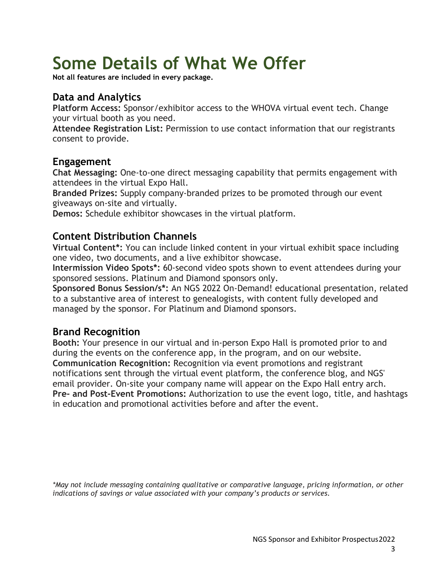# **Some Details of What We Offer**

**Not all features are included in every package.**

# **Data and Analytics**

**Platform Access:** Sponsor/exhibitor access to the WHOVA virtual event tech. Change your virtual booth as you need.

**Attendee Registration List:** Permission to use contact information that our registrants consent to provide.

## **Engagement**

**Chat Messaging:** One-to-one direct messaging capability that permits engagement with attendees in the virtual Expo Hall.

**Branded Prizes:** Supply company-branded prizes to be promoted through our event giveaways on-site and virtually.

**Demos:** Schedule exhibitor showcases in the virtual platform.

# **Content Distribution Channels**

**Virtual Content\*:** You can include linked content in your virtual exhibit space including one video, two documents, and a live exhibitor showcase.

**Intermission Video Spots\*:** 60-second video spots shown to event attendees during your sponsored sessions. Platinum and Diamond sponsors only.

**Sponsored Bonus Session/s\*:** An NGS 2022 On-Demand! educational presentation, related to a substantive area of interest to genealogists, with content fully developed and managed by the sponsor. For Platinum and Diamond sponsors.

# **Brand Recognition**

**Booth:** Your presence in our virtual and in-person Expo Hall is promoted prior to and during the events on the conference app, in the program, and on our website. **Communication Recognition:** Recognition via event promotions and registrant notifications sent through the virtual event platform, the conference blog, and NGS' email provider. On-site your company name will appear on the Expo Hall entry arch. **Pre- and Post-Event Promotions:** Authorization to use the event logo, title, and hashtags in education and promotional activities before and after the event.

*\*May not include messaging containing qualitative or comparative language, pricing information, or other indications of savings or value associated with your company's products or services.*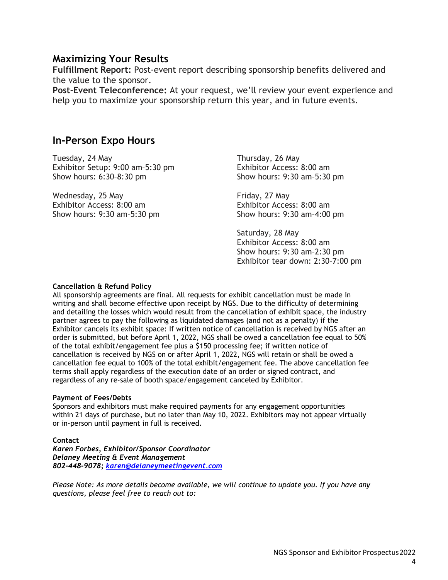### **Maximizing Your Results**

**Fulfillment Report:** Post-event report describing sponsorship benefits delivered and the value to the sponsor.

**Post-Event Teleconference:** At your request, we'll review your event experience and help you to maximize your sponsorship return this year, and in future events.

### **In-Person Expo Hours**

Tuesday, 24 May Exhibitor Setup: 9:00 am–5:30 pm Show hours: 6:30–8:30 pm

Wednesday, 25 May Exhibitor Access: 8:00 am Show hours: 9:30 am–5:30 pm Thursday, 26 May Exhibitor Access: 8:00 am Show hours: 9:30 am–5:30 pm

Friday, 27 May Exhibitor Access: 8:00 am Show hours: 9:30 am–4:00 pm

Saturday, 28 May Exhibitor Access: 8:00 am Show hours: 9:30 am–2:30 pm Exhibitor tear down: 2:30–7:00 pm

#### **Cancellation & Refund Policy**

All sponsorship agreements are final. All requests for exhibit cancellation must be made in writing and shall become effective upon receipt by NGS. Due to the difficulty of determining and detailing the losses which would result from the cancellation of exhibit space, the industry partner agrees to pay the following as liquidated damages (and not as a penalty) if the Exhibitor cancels its exhibit space: If written notice of cancellation is received by NGS after an order is submitted, but before April 1, 2022, NGS shall be owed a cancellation fee equal to 50% of the total exhibit/engagement fee plus a \$150 processing fee; if written notice of cancellation is received by NGS on or after April 1, 2022, NGS will retain or shall be owed a cancellation fee equal to 100% of the total exhibit/engagement fee. The above cancellation fee terms shall apply regardless of the execution date of an order or signed contract, and regardless of any re-sale of booth space/engagement canceled by Exhibitor.

#### **Payment of Fees/Debts**

Sponsors and exhibitors must make required payments for any engagement opportunities within 21 days of purchase, but no later than May 10, 2022. Exhibitors may not appear virtually or in-person until payment in full is received.

#### **Contact**

*Karen Forbes, Exhibitor/Sponsor Coordinator Delaney Meeting & Event Management 802-448-9078; [karen@delaneymeetingevent.com](mailto:karen@delaneymeetingevent.com)*

*[Please Note: As more details become available, we will continue to update you. If you have any](mailto:karen@delaneymeetingevent.com)  [questions, please feel free to reach out to:](mailto:karen@delaneymeetingevent.com)*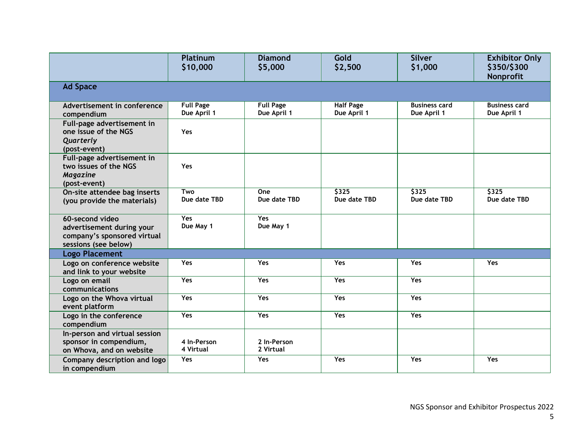|                                                                                                     | <b>Platinum</b><br>\$10,000     | <b>Diamond</b><br>\$5,000       | Gold<br>\$2,500                 | <b>Silver</b><br>\$1,000            | <b>Exhibitor Only</b><br>\$350/\$300<br>Nonprofit |  |
|-----------------------------------------------------------------------------------------------------|---------------------------------|---------------------------------|---------------------------------|-------------------------------------|---------------------------------------------------|--|
| <b>Ad Space</b>                                                                                     |                                 |                                 |                                 |                                     |                                                   |  |
| Advertisement in conference<br>compendium                                                           | <b>Full Page</b><br>Due April 1 | <b>Full Page</b><br>Due April 1 | <b>Half Page</b><br>Due April 1 | <b>Business card</b><br>Due April 1 | <b>Business card</b><br>Due April 1               |  |
| Full-page advertisement in<br>one issue of the NGS<br>Quarterly<br>(post-event)                     | Yes                             |                                 |                                 |                                     |                                                   |  |
| Full-page advertisement in<br>two issues of the NGS<br>Magazine<br>(post-event)                     | Yes                             |                                 |                                 |                                     |                                                   |  |
| On-site attendee bag inserts<br>(you provide the materials)                                         | Two<br>Due date TBD             | One<br>Due date TBD             | 5325<br>Due date TBD            | 5325<br>Due date TBD                | 5325<br>Due date TBD                              |  |
| 60-second video<br>advertisement during your<br>company's sponsored virtual<br>sessions (see below) | Yes<br>Due May 1                | <b>Yes</b><br>Due May 1         |                                 |                                     |                                                   |  |
| <b>Logo Placement</b>                                                                               |                                 |                                 |                                 |                                     |                                                   |  |
| Logo on conference website<br>and link to your website                                              | <b>Yes</b>                      | <b>Yes</b>                      | Yes                             | Yes                                 | Yes                                               |  |
| Logo on email<br>communications                                                                     | Yes                             | Yes                             | <b>Yes</b>                      | Yes                                 |                                                   |  |
| Logo on the Whova virtual<br>event platform                                                         | Yes                             | <b>Yes</b>                      | <b>Yes</b>                      | Yes                                 |                                                   |  |
| Logo in the conference<br>compendium                                                                | Yes                             | Yes                             | <b>Yes</b>                      | Yes                                 |                                                   |  |
| In-person and virtual session<br>sponsor in compendium,<br>on Whova, and on website                 | 4 In-Person<br>4 Virtual        | 2 In-Person<br>2 Virtual        |                                 |                                     |                                                   |  |
| Company description and logo<br>in compendium                                                       | Yes                             | <b>Yes</b>                      | Yes                             | Yes                                 | Yes                                               |  |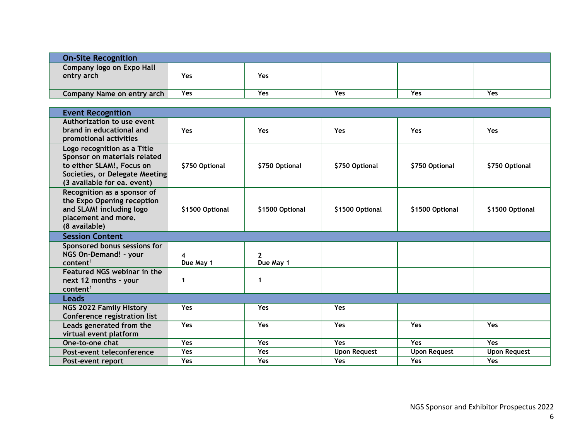| <b>On-Site Recognition</b>              |            |            |            |     |     |
|-----------------------------------------|------------|------------|------------|-----|-----|
| Company logo on Expo Hall<br>entry arch | Yes        | <b>Yes</b> |            |     |     |
| Company Name on entry arch              | <b>Yes</b> | Yes        | <b>Yes</b> | Yes | Yes |

| <b>Event Recognition</b>                                                                                                                                  |                 |                           |                     |                     |                     |  |
|-----------------------------------------------------------------------------------------------------------------------------------------------------------|-----------------|---------------------------|---------------------|---------------------|---------------------|--|
| Authorization to use event<br>brand in educational and<br>promotional activities                                                                          | Yes             | <b>Yes</b>                | <b>Yes</b>          | Yes                 | <b>Yes</b>          |  |
| Logo recognition as a Title<br>Sponsor on materials related<br>to either SLAM!, Focus on<br>Societies, or Delegate Meeting<br>(3 available for ea. event) | \$750 Optional  | \$750 Optional            | \$750 Optional      | \$750 Optional      | \$750 Optional      |  |
| Recognition as a sponsor of<br>the Expo Opening reception<br>and SLAM! including logo<br>placement and more.<br>(8 available)                             | \$1500 Optional | \$1500 Optional           | \$1500 Optional     | \$1500 Optional     | \$1500 Optional     |  |
| <b>Session Content</b>                                                                                                                                    |                 |                           |                     |                     |                     |  |
| Sponsored bonus sessions for<br>NGS On-Demand! - your<br>content <sup>1</sup>                                                                             | Due May 1       | $\mathbf{2}$<br>Due May 1 |                     |                     |                     |  |
| Featured NGS webinar in the<br>next 12 months - your<br>content <sup>1</sup>                                                                              |                 | 1                         |                     |                     |                     |  |
| <b>Leads</b>                                                                                                                                              |                 |                           |                     |                     |                     |  |
| <b>NGS 2022 Family History</b><br>Conference registration list                                                                                            | <b>Yes</b>      | <b>Yes</b>                | <b>Yes</b>          |                     |                     |  |
| Leads generated from the<br>virtual event platform                                                                                                        | Yes             | Yes                       | Yes                 | Yes                 | Yes                 |  |
| One-to-one chat                                                                                                                                           | Yes             | <b>Yes</b>                | <b>Yes</b>          | <b>Yes</b>          | <b>Yes</b>          |  |
| Post-event teleconference                                                                                                                                 | Yes             | <b>Yes</b>                | <b>Upon Request</b> | <b>Upon Request</b> | <b>Upon Request</b> |  |
| Post-event report                                                                                                                                         | Yes             | <b>Yes</b>                | <b>Yes</b>          | <b>Yes</b>          | <b>Yes</b>          |  |